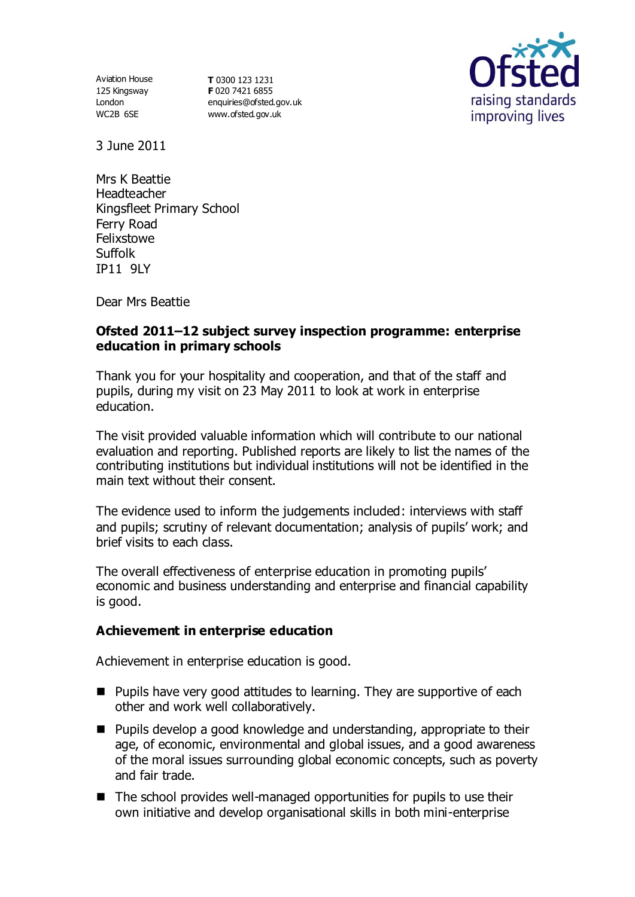Aviation House 125 Kingsway London WC2B 6SE

**T** 0300 123 1231 **F** 020 7421 6855 [enquiries@ofsted.gov.uk](mailto:enquiries@ofsted.gov.uk) [www.ofsted.gov.uk](http://www.ofsted.gov.uk/)



3 June 2011

Mrs K Beattie **Headteacher** Kingsfleet Primary School Ferry Road Felixstowe Suffolk IP11 9LY

Dear Mrs Beattie

# **Ofsted 2011–12 subject survey inspection programme: enterprise education in primary schools**

Thank you for your hospitality and cooperation, and that of the staff and pupils, during my visit on 23 May 2011 to look at work in enterprise education.

The visit provided valuable information which will contribute to our national evaluation and reporting. Published reports are likely to list the names of the contributing institutions but individual institutions will not be identified in the main text without their consent.

The evidence used to inform the judgements included: interviews with staff and pupils; scrutiny of relevant documentation; analysis of pupils' work; and brief visits to each class.

The overall effectiveness of enterprise education in promoting pupils' economic and business understanding and enterprise and financial capability is good.

# **Achievement in enterprise education**

Achievement in enterprise education is good.

- Pupils have very good attitudes to learning. They are supportive of each other and work well collaboratively.
- Pupils develop a good knowledge and understanding, appropriate to their age, of economic, environmental and global issues, and a good awareness of the moral issues surrounding global economic concepts, such as poverty and fair trade.
- $\blacksquare$  The school provides well-managed opportunities for pupils to use their own initiative and develop organisational skills in both mini-enterprise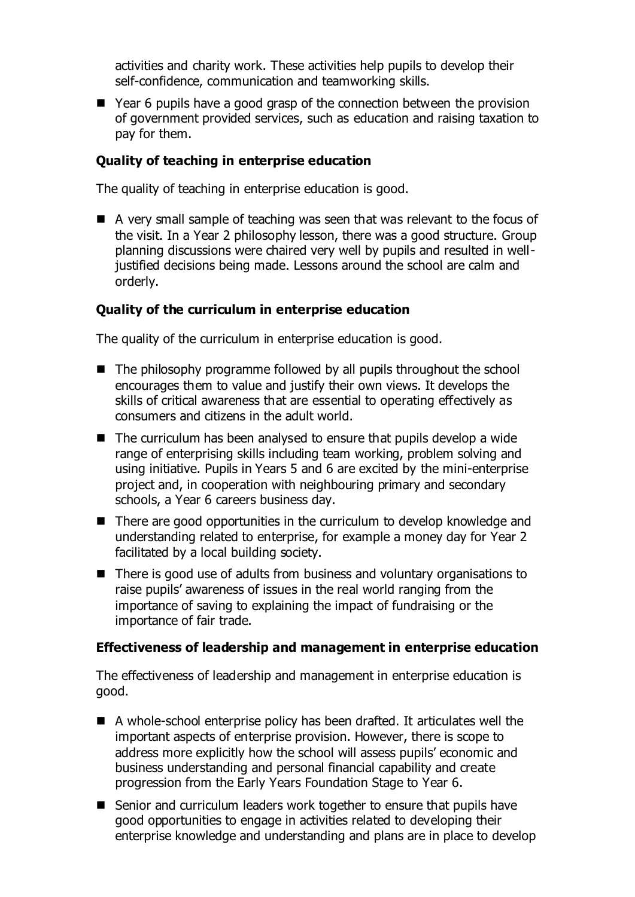activities and charity work. These activities help pupils to develop their self-confidence, communication and teamworking skills.

■ Year 6 pupils have a good grasp of the connection between the provision of government provided services, such as education and raising taxation to pay for them.

## **Quality of teaching in enterprise education**

The quality of teaching in enterprise education is good.

A very small sample of teaching was seen that was relevant to the focus of the visit. In a Year 2 philosophy lesson, there was a good structure. Group planning discussions were chaired very well by pupils and resulted in welljustified decisions being made. Lessons around the school are calm and orderly.

### **Quality of the curriculum in enterprise education**

The quality of the curriculum in enterprise education is good.

- $\blacksquare$  The philosophy programme followed by all pupils throughout the school encourages them to value and justify their own views. It develops the skills of critical awareness that are essential to operating effectively as consumers and citizens in the adult world.
- $\blacksquare$  The curriculum has been analysed to ensure that pupils develop a wide range of enterprising skills including team working, problem solving and using initiative. Pupils in Years 5 and 6 are excited by the mini-enterprise project and, in cooperation with neighbouring primary and secondary schools, a Year 6 careers business day.
- $\blacksquare$  There are good opportunities in the curriculum to develop knowledge and understanding related to enterprise, for example a money day for Year 2 facilitated by a local building society.
- There is good use of adults from business and voluntary organisations to raise pupils' awareness of issues in the real world ranging from the importance of saving to explaining the impact of fundraising or the importance of fair trade.

#### **Effectiveness of leadership and management in enterprise education**

The effectiveness of leadership and management in enterprise education is good.

- A whole-school enterprise policy has been drafted. It articulates well the important aspects of enterprise provision. However, there is scope to address more explicitly how the school will assess pupils' economic and business understanding and personal financial capability and create progression from the Early Years Foundation Stage to Year 6.
- Senior and curriculum leaders work together to ensure that pupils have good opportunities to engage in activities related to developing their enterprise knowledge and understanding and plans are in place to develop